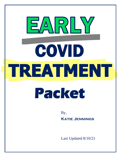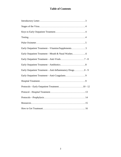# **Table of Contents**

| Early Outpatient Treatment-Vitamins/Supplements5        |
|---------------------------------------------------------|
|                                                         |
|                                                         |
|                                                         |
| Early Outpatient Treatment-Anti-Inflammatory Drugs8 - 9 |
|                                                         |
|                                                         |
|                                                         |
|                                                         |
|                                                         |
|                                                         |
|                                                         |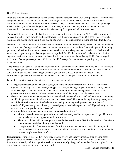Dear Fellow Citizens,

Of all the illogical and detrimental aspects of this country's response to the CCP virus pandemic, I find the most egregious to be the fact that practically NO ONE in government, public health, and most of the medical community has talked about EARLY TREATMENT. They'll rail on and on about the latest alpha pi omega variant and tell you to hide under your bed, but not once, *not once*, have they informed the public about treatment that other doctors, *real doctors*, have been using for a year and a half to save lives.

The so-called experts tell people that if you test positive for the virus, go home, do NOTHING, and wait until you can't breathe—then come to the hospital where they'll put you on *useless* \$3000 a dose remdesivir and a ventilator and maybe you'll make it out, maybe you won't. This is unbelievable to me and quite frankly evil.

Wouldn't you want to treat the virus early so that it doesn't escalate into something worse? Is that not medicine 101? It's akin to finding a small, isolated, cancerous tumor in your arm, and the doctor tells you to do nothing, go home, and wait until the cancer metastasizes into all of your vital organs, then come back to the hospital when your prognosis is grim. Would you ever accept that? It's like having a small kitchen fire, and the fire department refuses to come put it out and instead waits until your whole house is engulfed in flames to grab their hoses. Would you accept that? Well, you shouldn't accept this malfeasance regarding early covid treatment either.

The purpose of this packet is to let you know that there *is* treatment for this virus, to outline what that treatment is, and to give you contact information for doctors who will actually treat you. This may come as a shock to some of you, but you can't trust the government, you can't trust these public health "experts," and unfortunately, you can't trust most doctors either. You have to take your health into your own hands.

Before I get into the treatment details, here's some food for thought:

- **If the government actually cared about covid, why is the southern border WIDE OPEN?** Thousands of migrants are pouring across the border, being put on buses, and being shipped around the country. They could be carrying covid and who knows what else, and they're not even being tested. Yet, this same government wants American children to cover their faces all day long at school? Excuse me?
- There is this great insistence that people who have already recovered from covid and have natural immunity should still get vaccinated. In what world does this make sense? How could having immunity to only one part of the virus (from the vaccine) be better than having immunity to all parts of the virus (natural infection)? If you already had chicken pox, would you get the chicken pox vaccine? If you already had the measles, would you get the measles vaccine?
- Why would the government suppress information on early treatment?
	- Most of the early treatment protocols involve cheap, easily available, re-purposed drugs. There's no money to be made by big pharma with these drugs.
	- There can only be an EUA (emergency use authorization) from the FDA for the vaccine if there is no other treatment available. Funny how that works.
	- If people knew that there was treatment for this virus, then they wouldn't so easily comply with mask mandates and lockdowns and vaccine mandates. It would be much harder to control the public because people would *not* be afraid.

**Be not afraid.** Turn off the TV. Live your life. Breathe freely, and show your smile. Stop treating other people like they're disease vectors, and start treating them like human beings again. Do what you can to improve your health, and if you get sick, seek treatment promptly. Pray, and remember that your rights do not come from the government, they come from God.

- Katie Jennings, Massachusetts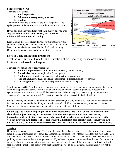#### **Stages of the Virus**

There are three stages:

- **1. Viral Replication**
- **2. Inflammation (respiratory distress)**
- **3. Clotting**

The inflammation and clotting are the most dangerous. The **spike protein** of the virus causes the inflammation and clotting*.* 

#### **If you can stop the virus from replicating early on, you will stop the production of spike protein, and therefore minimize inflammation and clotting***.*

Keep in mind that these stages don't occur simultaneously and you don't instantly have serious trouble—it takes a few days at least. So, there is time to treat this, but don't wait too long. Upon symptom onset, *take action* before things get worse.



## **Keys to Early Outpatient Treatment**

Treat the virus **early**, at **home** (or at an outpatient clinic if receiving monoclonal antibody treatment), and **avoid the hospital**.

There are five main parts of early treatment:

- 1. **Vitamins/Supplements/Mouth & Nasal Washes** (over the counter)
- 2. **Anti-virals** to stop viral replication (prescription)
- 3. **Antibiotics** to prevent secondary bacterial infection (prescription)
- 4. **Anti-inflammatory drugs** to alleviate inflammation (prescription except for one)
- 5. **Anti-coagulants** to prevent clotting (prescription except for aspirin)

Start treatment **EARLY**, within the *first five days* of symptom onset, preferably *at* symptom onset. Start on the vitamins/supplements/washes, an anti-viral, an antibiotic, and maybe aspirin right away. If respiratory symptoms persist or worsen, you would then need an anti-inflammatory drug. Depending on the patient, a stronger anti-coagulant can be used. The treatment can be tailored to each individual patient.

If you're healthy and under 50, you might not need treatment, but why not take it? You would recover sooner, kill the virus sooner, and be less likely to spread it around. Children can receive early treatment if needed. Many of the vitamins/supplements and anti-viral drugs are safe for children.

**On the pages to follow, I am going to list all of the medications that I know about. You wouldn't take them all—I'm just showing you the options. And, obviously, you would have to check for any interactions with medications that you already take. I will also list some protocols and resources that you can give your own doctor to show him or her that treatment does actually exist. And, if your own doctor is useless, I will list telemedicine services where you can find a** *real doctor* **who will treat you early.** 

# **Testing**

Upon symptom onset, go get tested. There are plenty of places that give rapid tests—do not wait days. Look around. Many urgent cares offer same-day appointments for rapid tests. Most of these tests are PCR tests. You can even buy a home test kit from Wal-Mart (Abbott Binax Now)—this is a rapid antigen test. The PCR test is probably more sensitive than the antigen test, but if you have symptoms, either test should work. Of course, no one really knows how reliable these tests are, so if you get a negative result but you really don't feel well, still seek treatment—most of the doctors who treat patients will just go by the patient's symptoms anyway, not the test result.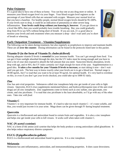# **Pulse Oximeter**

It's a good idea to have one of these at home. You can buy one at any drug store or online. It measures your blood oxygen level via your finger. Your blood oxygen level registers as the percentage of your blood cells that are saturated with oxygen. Measure *your* normal level so that you have a baseline. For healthy people, normal blood oxygen levels should be 95-100%. If your levels start to drop, it could be an indication of pneumonia or other severe lung inflammation. **Your levels could drop without you knowing it, however***.* If you got down to a level like 88%, then you would probably have trouble breathing. But, you could gradually drop from 95 to say 92% without being short of breath. If you are sick, it's a good idea to monitor your levels and seek treatment when you measure a drop—don't wait until you're short of breath or wheezing.



## **Early Outpatient Treatment—Vitamins/Supplements**

The following can be taken during treatment, but also regularly as prophylaxis to improve and maintain health. These are all **over the counter**. Dosing information can be found in the protocols listed later in this packet.

## **Vitamin D (in the form of Vitamin D<sup>3</sup> cholecalciferol)**

Having adequate vitamin D levels is **essential** for your immune health. You can't get enough from food. You can get it from sunlight absorbed through the skin, but the UV index must be strong enough and you have to have a lot of your skin exposed to absorb the full amount that you need. Sunscreen blocks absorption, levels drop with age, and in MA, the UV index certainly isn't high enough for most of the year. Supplementation is a good idea. **It takes a few months for your Vitamin D levels to increase,** so start taking it now—don't wait until you get sick. The best way to know exactly what your levels are is to get a blood test. Normal range is 30-80 ng/mL, but I've read that you want to be at least 50 ng/mL for optimal health. It's very hard to overdose on this, so even if you don't get your levels checked, you could take up to 5000 IU daily.

# **Zinc**

Zinc has anti-viral properties. Substances called zinc ionophores help zinc get inside of your cells to fight viruses. Quercetin, EGCG (two supplements mentioned below), and hydroxychloroquine (one of the anti-viral drugs) are all zinc ionophores. Zinc supplements come in forms such as zinc sulfate, zinc gluconate, zinc citrate, and zinc picolinate. I've read that zinc picolinate is the least absorbable, so I'd go with any of the other ones. Take zinc *with food*.

# **Vitamin C**

Vitamin C is very important for immune health. It's hard to take too much vitamin C—it's water soluble, and thus, you would just excrete it in your urine. Mega doses can be given through IV during hospital treatment.

# **Quercetin**

Quercetin is a bioflavonoid and antioxidant found in certain fruits and vegetables. It is also a zinc ionophore and helps zinc get inside your cells to kill viruses. It works well when taken with vitamin C.

# **NAC (N-acetyl cysteine)**

NAC is a form of the amino acid cysteine that helps the body produce a strong antioxidant called glutathione. It also helps reduce respiratory distress symptoms.

# **EGCG (Epigallocathecin-gallate)**

EGCG is a bioflavonoid and antioxidant found in green tea. It is a zinc ionophore.

# **Melatonin**

Melatonin has anti-inflammatory, antioxidant, and immunomodulating properties. It does cause drowsiness.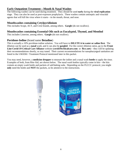#### **Early Outpatient Treatment—Mouth & Nasal Washes**

The following washes can be used during treatment. They should be used **early** during the **viral replication** stage. They can also be used as post-exposure prophylaxis. These washes contain antiseptic and virucidal agents that will kill the virus where it starts—in the mouth, throat, and nose.

#### **Mouthwashes containing Cetylpyridinium**

This includes Scope, ACT, and Crest brands, among others. **Gargle** (do not swallow).

#### **Mouthwashes containing Essential Oils such as Eucalyptol, Thymol, and Menthol**

This includes Listerine, among others. **Gargle** (do not swallow).

#### **Povidone-Iodine** (brand name **Betadine**)

This is actually a 10% povidone-iodine solution. You will have to **DILUTE it in water or saline first**. The dilution can be used as a **nasal** wash, and it can also be **gargled**. For the correct dilution ratios, go to the **Front Line Covid-19 Critical Care Alliance** website (**covid19criticalcare.com** or **flccc.net**)—they will be updating their recommendations shortly, so stay tuned. Their current recommendations for nasopharyngeal sanitation are listed in the I-MASK+ Treatment Protocol mentioned later in this packet.

You may need, however, a **medicine dropper** to measure the iodine and a nasal wash **bottle** to apply the rinse. Examples of both, from Rite-Aid, are shown below. The nasal wash bottles typically come in kits—the kits contain an empty wash bottle and packets of salt/baking soda. Depending on the FLCCC protocol, you might **only** need the bottle and **NOT** the packets, so be attentive to the instructions.

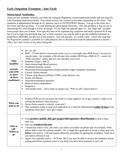# **Early Outpatient Treatment—Anti-Virals**

## **Monoclonal Antibodies**

There are two antibody cocktails, one from the company Regeneron (casirivimab/imdevimab) and one from Eli Lilly (bamlanivimab/etesevimab). You would receive one cocktail or the other, depending on the clinic. The treatment is administered through an IV infusion, but it is OUTPATIENT therapy. You go to the clinic for a few hours and then go home. I've read nothing but good things about this. The only problem is that no one is advertising this, even though it is *free of charge*. It's for high risk patients ages 12+, but "high risk" includes more people than you'd think. You typically have to be experiencing symptoms and need a positive PCR test, but if you're high risk and think that you've been exposed, you may be able to get the antibody treatment as prophylaxis BEFORE you get sick or test positive. Just call and ask—it's worth a shot. I have also read that the Regeneron cocktail is available as a subcutaneous shot in the arm that could be administered at a doctor's office, but I don't know of any place doing this.

| <b>Who</b><br><b>Qualifies</b><br>(anyone<br>with ONE<br>or more<br>of these<br>conditions) | $65+$ yrs old<br>п<br>$BMI > 25$ (this doesn't necessarily mean you're overweight since BMI doesn't account for<br>п<br>muscle mass—for example, a 6ft tall man who weighs 200 lb has a BMI of 27—search for<br>"BMI calculator" online and you can calculate your own)<br>Diabetes (Types 1 and 2)<br>Ξ<br>Heart disease/high blood pressure<br>Ξ<br>Weakened immune system<br>П<br>Receiving immunosuppressive drug treatment (organ transplant recipients)<br>$\blacksquare$<br>Chronic kidney disease<br>$\blacksquare$<br>Chronic lung disease (asthma, COPD, cystic fibrosis, etc)<br>$\blacksquare$<br>Sickle cell disease<br>$\blacksquare$<br>Neurodevelopmental disorders<br>$\blacksquare$<br>Medical device dependence<br>$\blacksquare$<br>Pregnancy<br>$\blacksquare$<br>And maybe more—call a clinic to inquire (see "Who to call" section below)<br>٠ |
|---------------------------------------------------------------------------------------------|-----------------------------------------------------------------------------------------------------------------------------------------------------------------------------------------------------------------------------------------------------------------------------------------------------------------------------------------------------------------------------------------------------------------------------------------------------------------------------------------------------------------------------------------------------------------------------------------------------------------------------------------------------------------------------------------------------------------------------------------------------------------------------------------------------------------------------------------------------------------------|
| What you<br>need to do                                                                      | Positive PCR test (if you think the result is a false negative, try to get a doctor's order or try<br>П<br>calling the infusion clinic anyway)<br>Some clinics require a referral, some don't<br>$\blacksquare$<br>$\blacksquare$<br>This treatment works to stop viral replication so it must be administered within 10 days from<br>symptom onset (don't wait, get it asap)                                                                                                                                                                                                                                                                                                                                                                                                                                                                                         |
| Who to<br>call /<br><b>Where to</b><br>go                                                   | Visit protect-public.hhs.gov/pages/therapeutics-distribution to find a clinic<br>п<br>near you.<br>Also try crushcovid.com<br>Е<br>I found that where I live, one clinic was easily accessible via phone and very helpful, while<br>$\blacksquare$<br>others didn't even list a phone number. So, it might be a good idea to locate a clinic near you<br>before you need it. Call and inquire about the procedure for getting the treatment. Find out if<br>you need a referral or not.<br>Again, you typically need $a + PCR$ test, BUT you may be able to receive the treatment before<br>п<br>testing and before symptom onset if you think you have been exposed, so just call.                                                                                                                                                                                   |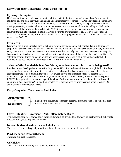# **Early Outpatient Treatment—Anti-Virals (cont'd)**

### **Hydroxychloroquine**

HCQ has multiple mechanisms of action in fighting covid, including being a zinc ionophore (allows zinc to get inside the cell and fight the virus) and having anti-inflammatory properties. HCQ is a stronger zinc ionophore than quercetin or EGCG. It is important that HCQ be taken **with ZINC**. HCQ has typically been used for treating/preventing malaria and for autoimmune diseases such as rheumatoid arthritis and lupus. Before the CDC removed the info from their website (in 2020), the agency recommended everyone (men, women, and children) traveling to Africa should take HCQ for *months* to prevent malaria. HCQ is over the counter in Africa. It has a better safety profile than Tylenol. It is safe for pregnant women and children. HCQ works best when taken **EARLY**.

### **Ivermectin**

Ivermectin has multiple mechanisms of action in fighting covid, including anti-viral and anti-inflammatory properties. Its mechanisms are different than those of HCQ, and thus it can be used *alone* or *in conjunction with HCQ*. Ivermectin, whose discoverers won a Nobel Prize, has typically been used as an anti-parasitic drug. It's been used to treat scabies and head lice in kids, so it's safe for children. It has an excellent safety profile—it's safer than aspirin. It may be safe in pregnancy, but its pregnancy safety profile has not been established. Ivermectin has been shown to work **both EARLY and LATE** in covid treatment.

#### **\*Note on Why Remdesivir Does Not Work, or at least not as it is currently being used\***

Remdesivir was developed as an anti-viral drug to treat HIV. It must be administered through IV for five days, so it is *inpatient* treatment. Currently, it is being used in hospitalized covid patients, but typically, patients aren't presenting to hospital until they're at least a week or two past symptom onset, far past the viral replication stage. If remdesivir works at all (which I am not even sure if it does), it would have to be given EARLY during the viral replication stage of the virus. And, who would want to be admitted to the hospital upon first sign of symptoms? In addition, remdesivir is quite expensive, whereas much more effective HCQ and ivermectin are incredibly cheap.

# **Early Outpatient Treatment—Antibiotics**

**Azithromycin** or **Doxycycline** }

In addition to preventing secondary bacterial infections such as pneumonia, both of these drugs have anti-viral properties.

### **Early Outpatient Treatment—Anti-Inflammatory Drugs**

Typically, if treatment is started early, these drugs would be given after a few days of treatment with anti-virals, if respiratory symptoms persist or worsen.

### **Inhaled Budesonide (**brand name **Pulmicort)**

This is a corticosteroid typically used for asthma. It can be taken via inhaler or nebulizer.

#### **Prednisone** and **Dexamethasone**

These are oral corticosteroids.

#### **Colchicine**

This is an anti-inflammatory drug typically used to treat gout.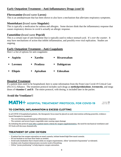## **Early Outpatient Treatment—Anti-Inflammatory Drugs (cont'd)**

#### **Fluvoxamine (**brand name **Luvox)**

This is an antidepressant that has been shown to also have a mechanism that alleviates respiratory symptoms.

#### **Montelukast (**brand name **Singulair)**

This is typically a medication for asthma and allergies. Some doctors think that the inflammatory response that causes respiratory distress in covid is actually an allergic response.

#### **Famotidine (**brand name **Pepcid)**

This is a certain type of anti-histamine that is typically used to reduce stomach acid. It's *over the counter*. It may have mechanisms of action that inhibit inflammation, and possibly even viral replication. Studies are ongoing.

#### **Early Outpatient Treatment—Anti-Coagulants**

Here's a list of options for anti-coagulants:

|                | $-$ Aspirin    | ■ Xarelto               | • Rivaroxaban |
|----------------|----------------|-------------------------|---------------|
| $\blacksquare$ | Lovenox        | ■ Pradaxa               | ■ Dabigatran  |
| $\blacksquare$ | <b>Eliquis</b> | $\blacksquare$ Apixaban | Edoxaban      |

### **Hospital Treatment**

If a patient does need to be hospitalized, here is some information from the Front Line Covid-19 Critical Care (FLCCC) Alliance. The treatment protocol includes such drugs as **methylprednisolone**, **ivermectin**, and mega doses of **vitamins C and D**. The entire protocol, with dosing, is included later in the packet.

### **Avoid the Ventilator!!**

#### MATH+ HOSPITAL TREATMENT PROTOCOL FOR COVID-19 Version 13 2021-06-30

# TO CONTROL INFLAMMATION & EXCESS CLOTTING

In all COVID-19 hospitalized patients, the therapeutic focus must be placed on early intervention utilizing powerful, evidencebased therapies to counteract:

- The overwhelming and damaging inflammatory response

- The systemic and severe hyper-coagulable state causing organ damage

By initiating the protocol soon after a patient meets criteria for oxygen supplementation, the need for mechanical ventilators and ICU beds will decrease dramatically.

### **TREATMENT OF LOW OXYGEN**

- If patient has low oxygen saturation on nasal cannula, initiate heated high flow nasal cannula.
- Do not hesitate to increase flow limits as needed.
- Avoid early intubation that is based solely on oxygen requirements. Allow "permissive hypoxemia" as tolerated.
- Intubate only if patient demonstrates excessive work of breathing.
- Utilize "prone positioning" to help improve oxygen saturation.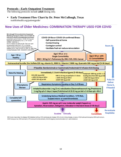#### **Protocols—Early Outpatient Treatment**

The following protocols include **adult** dosing only.

#### ▪ **Early Treatment Flow Chart by Dr. Peter McCullough, Texas**

truthforhealth.org/patientguide/

# **New Uses of Older Medicines: COMBINATION THERAPY USED FOR COVID**



BMI=body mass index, Dz=disease, DM=diabetes mellitus, CVD=cardiovascular disease, CKD=chronic kidney disease, yr=years, HCQ=hydroxychioroquine, AZM=azithromycin, DOXY=doxycycline, IVM=Ivermectin, VTE=venous thrombo-embolic, EUA=Emergency Use Authorization (U.S. administration)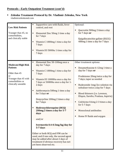# **Protocols—Early Outpatient Treatment (cont'd)**

# ▪ **Zelenko Treatment Protocol by Dr. Vladimir Zelenko, New York**

vladimirzelenkomd.com

| <b>Low Risk Patients</b><br>Younger than 45, no<br>comorbidities,<br>and clinically stable                                                    | Supportive care with fluids, fever<br>control, and rest<br>Elemental Zinc 50mg 1 time a day<br>for 7 days<br>Vitamin C 1000mg 1 time a day for<br>7 days<br>Vitamin D3 5000iu 1 time a day for<br>7 days                                                                                                                                                                                                                                                                                                                                                                                                                  | Optional:<br>Quercetin 500mg 2 times a day<br>for 7 days or<br>Epigallocatechin-gallate (EGCG)<br>400mg 1 time a day for 7 days                                                                                                                                                                                                                                                                       |
|-----------------------------------------------------------------------------------------------------------------------------------------------|---------------------------------------------------------------------------------------------------------------------------------------------------------------------------------------------------------------------------------------------------------------------------------------------------------------------------------------------------------------------------------------------------------------------------------------------------------------------------------------------------------------------------------------------------------------------------------------------------------------------------|-------------------------------------------------------------------------------------------------------------------------------------------------------------------------------------------------------------------------------------------------------------------------------------------------------------------------------------------------------------------------------------------------------|
| <b>Moderate/High Risk</b><br><b>Patients</b><br>Older than 45<br><b>or</b><br>Younger than 45 with<br>comorbidities or<br>clinically unstable | Elemental Zinc 50-100mg once a<br>Ξ<br>day for 7 days<br>Vitamin C 1000mg 1 time a day for<br>7 days<br>Vitamin D3 10000iu once a day for<br>Ξ<br>7 days or 50000iu once a day for 1-<br>2 days<br>Azithromycin 500mg 1 time a day<br>for 5 days or<br>Doxycycline 100mg 2 times a day<br>for 7 days<br>Hydroxychloroquine (HCQ)<br>200mg 2 times a day for 5-7<br>days<br>and/or<br>Ivermectin 0.4-0.5mg/kg/day for<br>5-7 days<br>Either or both HCQ and IVM can be<br>used, and if one only, the second agent<br>may be added after about 2 days of<br>treatment if obvious recovery has not<br>yet been observed etc. | Other treatment options:<br>Dexamethasone 6-12mg 1 time a<br>day for 7 days or<br>Prednisone 20mg twice a day for<br>7 days, taper as needed<br>Budesonide 1mg/2cc solution via<br>nebulizer twice a day for 7 days<br>Blood thinners (i.e. Lovenox,<br>Eliquis, Xarelto, Pradaxa, Aspirin)<br>Colchicine 0.6mg 2-3 times a day<br>for 5-7 days<br>Monoclonal antibodies<br>Home IV fluids and oxygen |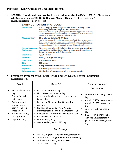#### **Protocols—Early Outpatient Treatment (cont'd)**

▪ **I-MASK+ Treatment Protocol by FLCCC Alliance (Dr. Paul Marik, VA; Dr. Pierre Kory, WI; Dr. Joseph Varon, TX; Dr. G. Umberto Meduri, TN; and Dr. Jose Iglesias, NJ)**

covid19criticalcare.com or flccc.net

| <b>Ivermectin'</b>                         | 0.2–0.4 mg/kg per dose (take with or after meals) — one<br>dose daily, take for 5 days or until recovered*<br>Use upper dose range if: 1) in regions with more aggressive variants;<br>2) treatment started on or after day 5 of symptoms or in pulmonary<br>phase; or 3) multiple comorbidities/risk factors.               |
|--------------------------------------------|------------------------------------------------------------------------------------------------------------------------------------------------------------------------------------------------------------------------------------------------------------------------------------------------------------------------------|
| <b>Fluvoxamine<sup>4</sup></b>             | 50 mg twice daily for 10-14 days<br>Add to ivermectin if: 1) minimal response after 2 days of ivermectin;<br>2) in regions with more aggressive variants; 3) treatment started on<br>or after day 5 of symptoms or in pulmonary phase; or 4) numerous<br>comorbidities/risk factors. Avoid if patient is already on an SSRI. |
| <b>Nasopharyngeal</b><br><b>Sanitation</b> | Steamed essential oil inhalation 3 times a day (e.g. VapoRub)<br>and/or chlorhexidine/benzydamine mouthwash gargles and<br>Betadine nasal spray 2-3 times a day                                                                                                                                                              |
| <b>Vitamin D3</b>                          | 4,000 IU/day                                                                                                                                                                                                                                                                                                                 |
| <b>Vitamin C</b>                           | 500-1,000 mg twice a day                                                                                                                                                                                                                                                                                                     |
| Quercetin                                  | 250 mg twice a day                                                                                                                                                                                                                                                                                                           |
| <b>Zinc</b>                                | 100 mg/day                                                                                                                                                                                                                                                                                                                   |
| <b>Melatonin</b>                           | <b>10 mg before bedtime</b> (causes drowsiness)                                                                                                                                                                                                                                                                              |
| <b>Aspirin</b>                             | 325 mg/day (unless contraindicated)                                                                                                                                                                                                                                                                                          |
| <b>Pulse Oximeter</b>                      | Monitoring of oxygen saturation is recommended                                                                                                                                                                                                                                                                               |

#### ▪ **Treatment Protocol by Dr. Brian Tyson and Dr. George Fareed, California** c19protocols.com

| Day 1                                                                                                                                                                                       | <b>Days 2-5</b>                                                                                                                                                                                                                                                                                                                                                                                                           | Over the counter                                                                                                                                                                                                                                                |  |
|---------------------------------------------------------------------------------------------------------------------------------------------------------------------------------------------|---------------------------------------------------------------------------------------------------------------------------------------------------------------------------------------------------------------------------------------------------------------------------------------------------------------------------------------------------------------------------------------------------------------------------|-----------------------------------------------------------------------------------------------------------------------------------------------------------------------------------------------------------------------------------------------------------------|--|
| HCQ 2 tabs twice a<br>day<br>Zinc sulfate tab<br>twice a day<br>Azithromycin tab<br>one per day or<br>doxycycline cap<br>twice a day<br>Ivermectin 12 mg<br>on day 1 only<br>Aspirin 325 mg | HCQ 1 tab 3 times a day<br>п<br>Zinc sulfate tab 3 times a day<br>п<br>Azithromycin tab daily or doxycycline cap<br>twice a day<br>Ivermectin 12 mg on day 3 if symptoms<br>п<br>warrant<br>Prednisone 60 mg daily x 5-7 days or<br>п<br>Dexamethasone 4 mg bid if wheezing /SOB<br>Budesonide 0.5-1mg/2ml via nebulizer bid<br>Vitamin D3 5000 iu daily<br>п<br>Pepcid 20 mg daily<br>Continue daily Aspirin 325 mg<br>п | prevention:<br>Elemental Zinc 25 mg once a<br>day<br>Vitamin D 4000 iu once a day<br>Vitamin C 1000 mg once a<br>day<br>Quercetin 500 mg once a<br>day<br>If Quercetin is unavailable,<br>п<br>then use Epigallocatechin-<br>gallate (EGCG) 400mg once a<br>day |  |
| <b>Tab Dosage</b>                                                                                                                                                                           |                                                                                                                                                                                                                                                                                                                                                                                                                           |                                                                                                                                                                                                                                                                 |  |
| $H CQ 200$ mg tabs ( $H CQ =$ hydroxychloroquine)<br>٠<br>Zinc sulfate 220 mg (or elemental Zinc 50 mg)<br>٠<br>Azithromycin 500 mg (or Z pack) or<br>٠<br>Doxycycline 100 mg               |                                                                                                                                                                                                                                                                                                                                                                                                                           |                                                                                                                                                                                                                                                                 |  |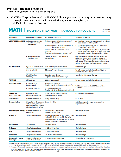#### **Protocol—Hospital Treatment**

The following protocol includes **adult** dosing only.

▪ **MATH+ Hospital Protocol by FLCCC Alliance (Dr. Paul Marik, VA; Dr. Pierre Kory, WI; Dr. Joseph Varon, TX; Dr. G. Umberto Meduri, TN; and Dr. Jose Iglesias, NJ)**

covid19criticalcare.com or flccc.net

# MATH+ HOSPITAL TREATMENT PROTOCOL FOR COVID-19

Version 13 2021-06-30

| <b>MEDICATION</b>                            | <b>INDICATION/INITIATION</b>                                                                                                                            | <b>RECOMMENDED DOSING</b>                                                                          | <b>TITRATION/DURATION</b>                                                                                                                                                                                                                         |  |
|----------------------------------------------|---------------------------------------------------------------------------------------------------------------------------------------------------------|----------------------------------------------------------------------------------------------------|---------------------------------------------------------------------------------------------------------------------------------------------------------------------------------------------------------------------------------------------------|--|
|                                              | METHYLPREDNISOLONE A. Upon oxygen require-<br>ment or abnormal<br>chest X-ray                                                                           | Preferred: 80 mg IV bolus, then 40 mg IV<br>twice daily                                            | A1. If no improvement in oxygenation in 2–4 days,<br>double dose to 160 mg/daily.                                                                                                                                                                 |  |
|                                              |                                                                                                                                                         | Alternate: 80 mg / 240 ml normal saline IV<br>infusion at 10 ml/hr                                 | A2. Upon need for FIO <sub>2</sub> > 0.6 or ICU, escalate to<br>"Pulse Dose" below (B)                                                                                                                                                            |  |
|                                              |                                                                                                                                                         | <b>Follow COVID-19 Respiratory Failure</b><br>protocol<br>(see flccc.net/respiratory-support-c19/) | A3. Once off IMV, NPPV, or High flow O2, decrease to<br>20 mg twice daily. Once off O2, then taper with<br>20 mg/day × 5 days then 10 mg/day × 5 days                                                                                             |  |
|                                              | <b>B. Refractory Illness/</b><br><b>Cytokine Storm</b>                                                                                                  | "Pulse" dose with 125 – 250 mg IV<br>every 6 hours                                                 | Continue × 3 days then decrease to 160 mg IV/<br>daily dose above, taper according to oxygen<br>requirement (A). If no response or CRP/Ferritin<br>high/rising, consider mega-dose IV ascorbic acid<br>and/or "Therapeutic Plasma Exchange" below |  |
| <b>ASCORBIC ACID</b>                         | $O2$ < 4L on hospital ward                                                                                                                              | 500-1000 mg oral every 6 hours                                                                     | Until discharge                                                                                                                                                                                                                                   |  |
|                                              | $0,$ > 4L or in ICU                                                                                                                                     | 50 mg/kg IV every 6 hours                                                                          | Up to 7 days or until discharge from ICU, then<br>switch to oral dose above                                                                                                                                                                       |  |
|                                              | If in ICU and not<br>improving                                                                                                                          | Consider mega-doses:<br>25 grams IV twice daily for 3 days                                         | Completion of 3 days of therapy                                                                                                                                                                                                                   |  |
| <b>THIAMINE</b>                              | <b>ICU</b> patients                                                                                                                                     | 200 mg IV twice daily                                                                              | Up to 7 days or until discharge from ICU                                                                                                                                                                                                          |  |
| <b>HEPARIN (LMWH)</b>                        | If initiated on a<br>hospital ward                                                                                                                      | $1mg/kg$ twice daily $-$<br>Monitor anti-Xa levels, target 0.6-1.11U/ml                            | Until discharge then start DOAC at half dose                                                                                                                                                                                                      |  |
|                                              | If initiated in the ICU                                                                                                                                 | 0.5 mg/kg twice daily —<br>Monitor anti-Xa levels, target 0.2-0.5 IU/ml                            | x 4 weeks                                                                                                                                                                                                                                         |  |
| <b>IVERMECTIN*</b><br>(a core medication)    | <b>Upon admission</b><br>to hospital and/or ICU                                                                                                         | 0.4–0.6 mg/kg per dose — daily<br>(Take with or after meals)                                       | For 5 days or until recovered                                                                                                                                                                                                                     |  |
| <b>Fluvoxamine</b> **                        | <b>Hospitalized patients</b>                                                                                                                            | 50 mg PO twice daily                                                                               | 10-14 days                                                                                                                                                                                                                                        |  |
| Cyproheptadine                               | If any of: 1) on fluvoxamine, $8 \text{ mg} - 3 \text{ x}$ daily<br>2) hypoxemic, 3) tachy-<br>pneic/respiratory distress,<br>4) oliguric/kidney injury |                                                                                                    | until discharge, slow taper once sustained<br>improvements noted                                                                                                                                                                                  |  |
| <b>Anti-Androgen Therapy</b>                 | <b>Hospitalized patients</b><br>(Men only)                                                                                                              | Dutasteride 0.5 mg daily or<br>Finasteride 5 mg daily                                              | until fully recovered                                                                                                                                                                                                                             |  |
| <b>Vitamin D</b>                             | <b>Hospitalized patients</b>                                                                                                                            | Calcifediol preferred: 0.5 mg PO day 1, then<br>0.2 mg PO day 2 and weekly thereafter              | Until discharge                                                                                                                                                                                                                                   |  |
|                                              |                                                                                                                                                         | Cholecalciferol: 20,000-60,000 IU single<br>dose PO then 20,000 IU weekly                          |                                                                                                                                                                                                                                                   |  |
| <b>Atorvastatin</b>                          | <b>ICU Patients</b>                                                                                                                                     | 80 mg PO daily                                                                                     | <b>Until discharge</b>                                                                                                                                                                                                                            |  |
| Melatonin                                    | <b>Hospitalized patients</b>                                                                                                                            | 6-12 mg PO at night                                                                                | Until discharge                                                                                                                                                                                                                                   |  |
| Zinc                                         | <b>Hospitalized patients</b>                                                                                                                            | 75-100 mg PO daily                                                                                 | Until discharge                                                                                                                                                                                                                                   |  |
| Famotidine                                   | <b>Hospitalized Patients</b>                                                                                                                            | 40-80 mg PO twice daily                                                                            | Until discharge                                                                                                                                                                                                                                   |  |
| <b>Therapeutic Plasma</b><br><b>Exchange</b> | Patients refractory to<br>pulse dose steroids                                                                                                           | 5 sessions, every other day                                                                        | <b>Completion of 5 exchanges</b>                                                                                                                                                                                                                  |  |

Legend: CRP = C-Reactive Protein, DOAC = direct oral anti-coagulant, FiO<sub>2</sub> = Fraction of inspired oxygen, ICU = Intensive Care Unit, IMV = Invasive Mechanical Ventilation,<br>IU = International units, IV = Intravenous, NIPP

\* The safety of ivermectin in pregnancy has not been established thus treatment decisions require an assessment of the risks vs. benefits in a given clinical situation. \*\* Some individuals who are prescribed fluvoxamine experience acute anxiety which needs to be carefully monitored for and treated by the prescribing clinician to pre-<br>vent rare escalation to suicidal or violent behavior.<br>1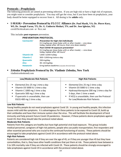#### **Protocols—Prophylaxis**

The following protocols are aimed at preventing infection. If you are high risk or have a high risk of exposure, you might want to consider prophylaxis. You may still get the virus, but if you have been on prophylaxis, your body should be better equipped to recover from it. All dosing is for **adults** only.

#### ▪ **I-MASK+ Prevention Protocol by FLCCC Alliance (Dr. Paul Marik, VA; Dr. Pierre Kory, WI; Dr. Joseph Varon, TX; Dr. G. Umberto Meduri, TN; and Dr. Jose Iglesias, NJ)**

covid19criticalcare.com or flccc.net

This includes **post-exposure** prevention.

#### **PREVENTION PROTOCOL**

| Ivermectin <sup>1</sup> | <b>Prevention for high risk individuals</b><br>0.2 mg/kg per dose (take with or after meals) - one dose<br>today, repeat after 48 hours, then one dose weekly* |
|-------------------------|----------------------------------------------------------------------------------------------------------------------------------------------------------------|
|                         | Post COVID-19 exposure prevention <sup>2</sup>                                                                                                                 |
|                         | 0.2 mg/kg per dose (take with or after meals) — one dose<br>today, repeat after 48 hours*                                                                      |
| <b>Vitamin D3</b>       | 1,000-3,000 IU/day                                                                                                                                             |
| <b>Vitamin C</b>        | 500-1,000 mg twice a day                                                                                                                                       |
| Quercetin               | 250 mg/day                                                                                                                                                     |
| <b>Zinc</b>             | $30 - 40$ mg/day                                                                                                                                               |
| <b>Melatonin</b>        | 6mg before bedtime (causes drowsiness)                                                                                                                         |

#### ▪ **Zelenko Prophylaxis Protocol by Dr. Vladimir Zelenko, New York** vladimirzelenkomd.com

| Low/Moderate Risk Patients                                                                                                                                                                                                                                             | <b>High Risk Patients</b>                                                                                                                                                                                                              |
|------------------------------------------------------------------------------------------------------------------------------------------------------------------------------------------------------------------------------------------------------------------------|----------------------------------------------------------------------------------------------------------------------------------------------------------------------------------------------------------------------------------------|
| ■ Elemental Zinc 25 mg 1 time a day<br>Vitamin D3 5000 IU 1 time a day<br>$\blacksquare$<br>Vitamin C 1000 mg 1 time a day<br>$\blacksquare$<br>Quercetin 500 mg 1 time a day<br>$\blacksquare$<br>" If quercetin is unavailable, then use<br>EGCG 400 mg 1 time a day | ■ Elemental Zinc 25 mg 1 time a day<br>Vitamin D3 5000 IU 1 time a day<br>Hydroxychloroquine 200 mg 1 time a day for<br>5 days, then 1 time a week<br>" If HCQ is unavailable, then use the Protocol<br>for Low/Moderate Risk Patients |

#### **Low Risk Patients**

Young healthy people do not need prophylaxis against Covid 19. In young and healthy people, this infection causes mild cold-like symptoms. It is advantageous for these patients to be exposed to Covid-19, build up their antibodies and have their immune system clear the virus. This will facilitate the development of herd immunity and help prevent future Covid-19 pandemics. However, if these patients desire prophylaxis against Covid-19, then they should take the protocol noted above.

#### **Moderate Risk Patients**

Patients from this category are healthy but have high potential viral-load exposure. This group includes medical personnel, caregivers of high-risk patients, people who use public transportation, first responders and other essential personnel who are crucial to the continued functioning of society. These patients should be encouraged to take prophylaxis against Covid-19 in accordance with the protocol noted above.

#### **High Risk Patients**

Patients are considered high risk if they are over the age of 45, or if they are younger than 45 but they have comorbidities, that is, they have other health conditions that put them at risk. These patients have between a 5 to 10% mortality rate if they are infected with Covid-19. These patients should be strongly encouraged to take prophylaxis against Covid-19 in accordance with the protocol noted above.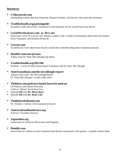#### **Resources**

#### ▪ **C19protocols.com**

Outstanding website that lists Protocols, Research Studies, and Doctors who prescribe treatment

#### ▪ **Truthforhealth.org/patientguide/**

Excellent Guide about Early Treatment to read and print out for yourself and your doctor

#### ▪ **Covid19criticalcare.com or flccc.net**

Front Line Covid-19 Critical Care Alliance website with a wealth of information about their Prevention, Early Treatment, and Hospital Protocols

#### ▪ **Covexit.com**

Excellent site with videos from doctors around the world describing their treatment protocols

#### ▪ **Rumble.com/user/jersnav** Videos from Dr. Peter McCullough and others

#### ▪ **Truthforhealth.org/2021/06/** Webinar: Covid-19 Early Home-based Treatment with Dr. Peter McCullough

▪ **Americaoutloud.com/the-mccullough-report/** America Out Loud, The McCullough Report Dr. Peter McCullough's weekly radio show

### ▪ **Theblaze.com/podcasts/daniel-horowitz-podcast** CR Podcast with Daniel Horowitz Click on "iHeart" for Podcast List

- Episode **928** with **Dr. Pierre Kory**
- Episode **920** with **Dr. Ryan Cole**

#### ▪ **Vladimirzelenkomd.com**

Dr. Zelenko's website with treatment protocols

- **Americasfrontlinedoctors.org** America's Frontline Doctors
- **Aapsonline.org** Association of American Physicians and Surgeons

#### ▪ **Rumble.com** Search here for videos on early treatment from doctors mentioned in this packet—youtube censors them.